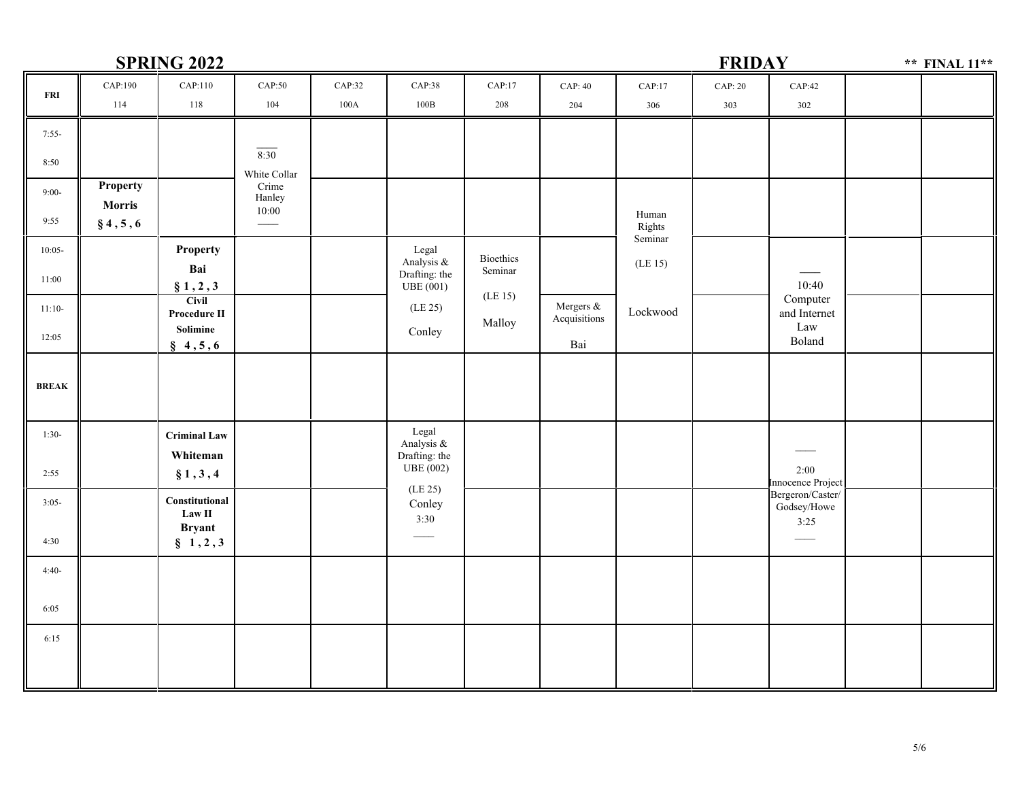## **SPRING 2022 FRIDAYFRI**7:55-8:50 9:00-9:55 10:05-11:00 11:10-12:05 **BREAK**1:30-2:55 3:05-4:30 4:40-6:05 6:15CAP:190114CAP:110118CAP:50104CAP:32100ACAP:38100BCAP:17208CAP:42302CAP:17306CAP: 40204CAP: 203032:00<br>
nnce Project<br>
ron/Caster/<br>
sy/Howe<br>
3:25<br>
5/ Innocence Project Bergeron/Caster/Godsey/Howe3:25 $\overline{\phantom{a}}$ **SET ANTICURAL CALLES CALLES CALLES CALLES CALLES CALLES CALLES CALLES CALLES CALLES CALLES CALLES CALLES CALLES CALLES CALLES CALLES CALLES CALLES CALLES CALLES CALLES CALLES CALLES CALLES CALLES CALLES CALLES CALLES CAL 1,2,3**